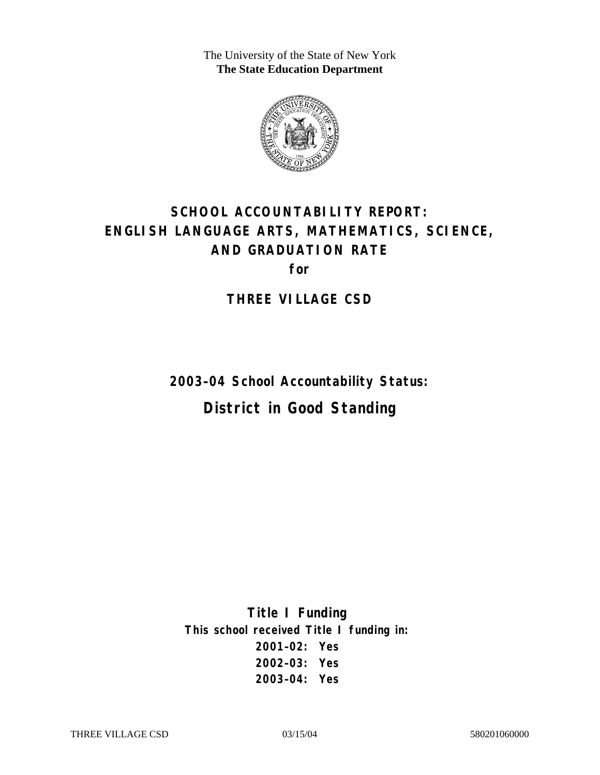The University of the State of New York **The State Education Department** 



# **SCHOOL ACCOUNTABILITY REPORT: ENGLISH LANGUAGE ARTS, MATHEMATICS, SCIENCE, AND GRADUATION RATE for**

**THREE VILLAGE CSD** 

**2003–04 School Accountability Status: District in Good Standing** 

**Title I Funding This school received Title I funding in: 2001–02: Yes 2002–03: Yes 2003–04: Yes**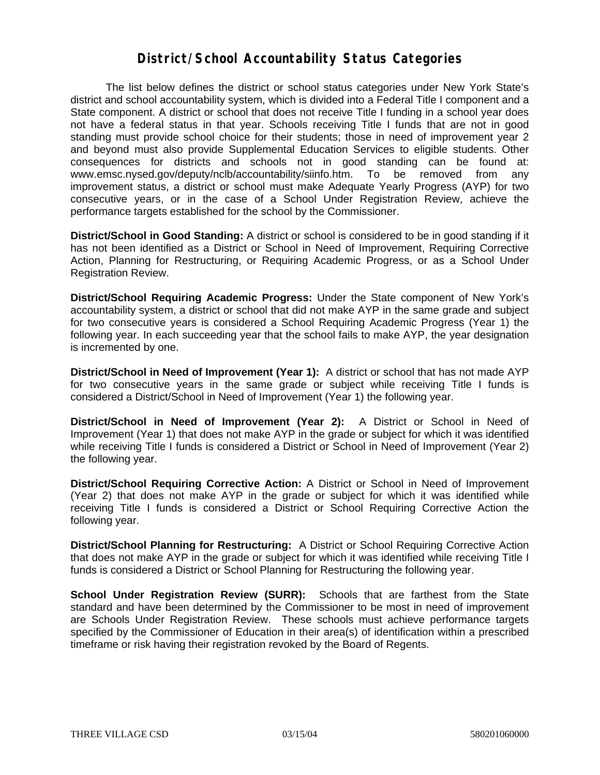#### **District/School Accountability Status Categories**

The list below defines the district or school status categories under New York State's district and school accountability system, which is divided into a Federal Title I component and a State component. A district or school that does not receive Title I funding in a school year does not have a federal status in that year. Schools receiving Title I funds that are not in good standing must provide school choice for their students; those in need of improvement year 2 and beyond must also provide Supplemental Education Services to eligible students. Other consequences for districts and schools not in good standing can be found at: www.emsc.nysed.gov/deputy/nclb/accountability/siinfo.htm. To be removed from any improvement status, a district or school must make Adequate Yearly Progress (AYP) for two consecutive years, or in the case of a School Under Registration Review, achieve the performance targets established for the school by the Commissioner.

**District/School in Good Standing:** A district or school is considered to be in good standing if it has not been identified as a District or School in Need of Improvement, Requiring Corrective Action, Planning for Restructuring, or Requiring Academic Progress, or as a School Under Registration Review.

**District/School Requiring Academic Progress:** Under the State component of New York's accountability system, a district or school that did not make AYP in the same grade and subject for two consecutive years is considered a School Requiring Academic Progress (Year 1) the following year. In each succeeding year that the school fails to make AYP, the year designation is incremented by one.

**District/School in Need of Improvement (Year 1):** A district or school that has not made AYP for two consecutive years in the same grade or subject while receiving Title I funds is considered a District/School in Need of Improvement (Year 1) the following year.

**District/School in Need of Improvement (Year 2):** A District or School in Need of Improvement (Year 1) that does not make AYP in the grade or subject for which it was identified while receiving Title I funds is considered a District or School in Need of Improvement (Year 2) the following year.

**District/School Requiring Corrective Action:** A District or School in Need of Improvement (Year 2) that does not make AYP in the grade or subject for which it was identified while receiving Title I funds is considered a District or School Requiring Corrective Action the following year.

**District/School Planning for Restructuring:** A District or School Requiring Corrective Action that does not make AYP in the grade or subject for which it was identified while receiving Title I funds is considered a District or School Planning for Restructuring the following year.

**School Under Registration Review (SURR):** Schools that are farthest from the State standard and have been determined by the Commissioner to be most in need of improvement are Schools Under Registration Review. These schools must achieve performance targets specified by the Commissioner of Education in their area(s) of identification within a prescribed timeframe or risk having their registration revoked by the Board of Regents.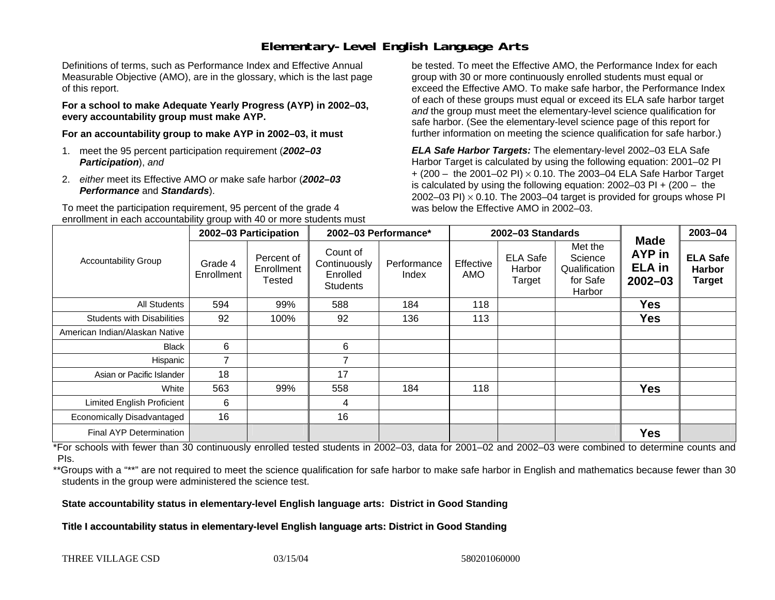## **Elementary-Level English Language Arts**

Definitions of terms, such as Performance Index and Effective Annual Measurable Objective (AMO), are in the glossary, which is the last page of this report.

**For a school to make Adequate Yearly Progress (AYP) in 2002–03, every accountability group must make AYP.** 

**For an accountability group to make AYP in 2002–03, it must** 

- 1. meet the 95 percent participation requirement (*2002–03 Participation*), *and*
- 2. *either* meet its Effective AMO *or* make safe harbor (*2002–03 Performance* and *Standards*).

To meet the participation requirement, 95 percent of the grade 4 enrollment in each accountability group with 40 or more students must

be tested. To meet the Effective AMO, the Performance Index for each group with 30 or more continuously enrolled students must equal or exceed the Effective AMO. To make safe harbor, the Performance Index of each of these groups must equal or exceed its ELA safe harbor target *and* the group must meet the elementary-level science qualification for safe harbor. (See the elementary-level science page of this report for further information on meeting the science qualification for safe harbor.)

*ELA Safe Harbor Targets:* The elementary-level 2002–03 ELA Safe Harbor Target is calculated by using the following equation: 2001–02 PI + (200 – the 2001–02 PI) <sup>×</sup> 0.10. The 2003–04 ELA Safe Harbor Target is calculated by using the following equation: 2002–03 PI + (200 – the 2002–03 PI)  $\times$  0.10. The 2003–04 target is provided for groups whose PI was below the Effective AMO in 2002–03.

|                                   | 2002-03 Participation |                                    | 2002-03 Performance*                                    |                      | 2002-03 Standards |                                     |                                                           |                                                              | 2003-04                                           |
|-----------------------------------|-----------------------|------------------------------------|---------------------------------------------------------|----------------------|-------------------|-------------------------------------|-----------------------------------------------------------|--------------------------------------------------------------|---------------------------------------------------|
| <b>Accountability Group</b>       | Grade 4<br>Enrollment | Percent of<br>Enrollment<br>Tested | Count of<br>Continuously<br>Enrolled<br><b>Students</b> | Performance<br>Index | Effective<br>AMO  | <b>ELA Safe</b><br>Harbor<br>Target | Met the<br>Science<br>Qualification<br>for Safe<br>Harbor | <b>Made</b><br><b>AYP</b> in<br><b>ELA</b> in<br>$2002 - 03$ | <b>ELA Safe</b><br><b>Harbor</b><br><b>Target</b> |
| All Students                      | 594                   | 99%                                | 588                                                     | 184                  | 118               |                                     |                                                           | <b>Yes</b>                                                   |                                                   |
| <b>Students with Disabilities</b> | 92                    | 100%                               | 92                                                      | 136                  | 113               |                                     |                                                           | <b>Yes</b>                                                   |                                                   |
| American Indian/Alaskan Native    |                       |                                    |                                                         |                      |                   |                                     |                                                           |                                                              |                                                   |
| <b>Black</b>                      | 6                     |                                    | 6                                                       |                      |                   |                                     |                                                           |                                                              |                                                   |
| Hispanic                          | $\overline{ }$        |                                    | 7                                                       |                      |                   |                                     |                                                           |                                                              |                                                   |
| Asian or Pacific Islander         | 18                    |                                    | 17                                                      |                      |                   |                                     |                                                           |                                                              |                                                   |
| White                             | 563                   | 99%                                | 558                                                     | 184                  | 118               |                                     |                                                           | <b>Yes</b>                                                   |                                                   |
| Limited English Proficient        | 6                     |                                    | 4                                                       |                      |                   |                                     |                                                           |                                                              |                                                   |
| Economically Disadvantaged        | 16                    |                                    | 16                                                      |                      |                   |                                     |                                                           |                                                              |                                                   |
| <b>Final AYP Determination</b>    |                       |                                    |                                                         |                      |                   |                                     |                                                           | <b>Yes</b>                                                   |                                                   |

\*For schools with fewer than 30 continuously enrolled tested students in 2002–03, data for 2001–02 and 2002–03 were combined to determine counts and PIs.

\*\*Groups with a "\*\*" are not required to meet the science qualification for safe harbor to make safe harbor in English and mathematics because fewer than 30 students in the group were administered the science test.

**State accountability status in elementary-level English language arts: District in Good Standing** 

Title I accountability status in elementary-level English language arts: District in Good Standing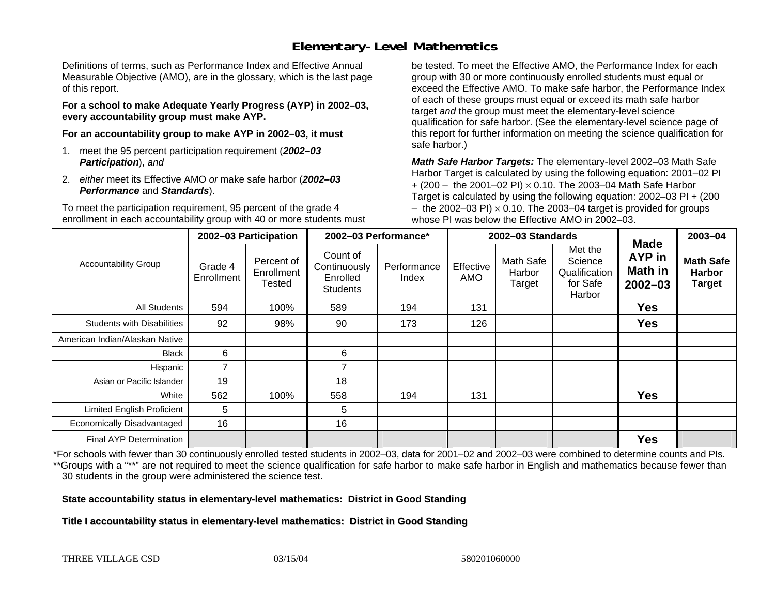## **Elementary-Level Mathematics**

Definitions of terms, such as Performance Index and Effective Annual Measurable Objective (AMO), are in the glossary, which is the last page of this report.

**For a school to make Adequate Yearly Progress (AYP) in 2002–03, every accountability group must make AYP.** 

**For an accountability group to make AYP in 2002–03, it must** 

- 1. meet the 95 percent participation requirement (*2002–03 Participation*), *and*
- 2. *either* meet its Effective AMO *or* make safe harbor (*2002–03 Performance* and *Standards*).

To meet the participation requirement, 95 percent of the grade 4 enrollment in each accountability group with 40 or more students must

be tested. To meet the Effective AMO, the Performance Index for each group with 30 or more continuously enrolled students must equal or exceed the Effective AMO. To make safe harbor, the Performance Index of each of these groups must equal or exceed its math safe harbor target *and* the group must meet the elementary-level science qualification for safe harbor. (See the elementary-level science page of this report for further information on meeting the science qualification for safe harbor.)

*Math Safe Harbor Targets:* The elementary-level 2002–03 Math Safe Harbor Target is calculated by using the following equation: 2001–02 PI + (200 – the 2001–02 PI) × 0.10. The 2003–04 Math Safe Harbor Target is calculated by using the following equation: 2002–03 PI + (200  $-$  the 2002–03 PI)  $\times$  0.10. The 2003–04 target is provided for groups whose PI was below the Effective AMO in 2002–03.

|                                   | 2002-03 Participation |                                    | 2002-03 Performance*                                    |                      | 2002-03 Standards |                               |                                                           |                                                        | 2003-04                                            |
|-----------------------------------|-----------------------|------------------------------------|---------------------------------------------------------|----------------------|-------------------|-------------------------------|-----------------------------------------------------------|--------------------------------------------------------|----------------------------------------------------|
| <b>Accountability Group</b>       | Grade 4<br>Enrollment | Percent of<br>Enrollment<br>Tested | Count of<br>Continuously<br>Enrolled<br><b>Students</b> | Performance<br>Index | Effective<br>AMO  | Math Safe<br>Harbor<br>Target | Met the<br>Science<br>Qualification<br>for Safe<br>Harbor | <b>Made</b><br>AYP in<br><b>Math in</b><br>$2002 - 03$ | <b>Math Safe</b><br><b>Harbor</b><br><b>Target</b> |
| <b>All Students</b>               | 594                   | 100%                               | 589                                                     | 194                  | 131               |                               |                                                           | <b>Yes</b>                                             |                                                    |
| <b>Students with Disabilities</b> | 92                    | 98%                                | 90                                                      | 173                  | 126               |                               |                                                           | <b>Yes</b>                                             |                                                    |
| American Indian/Alaskan Native    |                       |                                    |                                                         |                      |                   |                               |                                                           |                                                        |                                                    |
| <b>Black</b>                      | 6                     |                                    | 6                                                       |                      |                   |                               |                                                           |                                                        |                                                    |
| Hispanic                          | $\overline{7}$        |                                    | ⇁                                                       |                      |                   |                               |                                                           |                                                        |                                                    |
| Asian or Pacific Islander         | 19                    |                                    | 18                                                      |                      |                   |                               |                                                           |                                                        |                                                    |
| White                             | 562                   | 100%                               | 558                                                     | 194                  | 131               |                               |                                                           | <b>Yes</b>                                             |                                                    |
| <b>Limited English Proficient</b> | 5                     |                                    | 5                                                       |                      |                   |                               |                                                           |                                                        |                                                    |
| Economically Disadvantaged        | 16                    |                                    | 16                                                      |                      |                   |                               |                                                           |                                                        |                                                    |
| <b>Final AYP Determination</b>    |                       |                                    |                                                         |                      |                   |                               |                                                           | <b>Yes</b>                                             |                                                    |

\*For schools with fewer than 30 continuously enrolled tested students in 2002–03, data for 2001–02 and 2002–03 were combined to determine counts and PIs. \*\*Groups with a "\*\*" are not required to meet the science qualification for safe harbor to make safe harbor in English and mathematics because fewer than 30 students in the group were administered the science test.

**State accountability status in elementary-level mathematics: District in Good Standing** 

Title I accountability status in elementary-level mathematics: District in Good Standing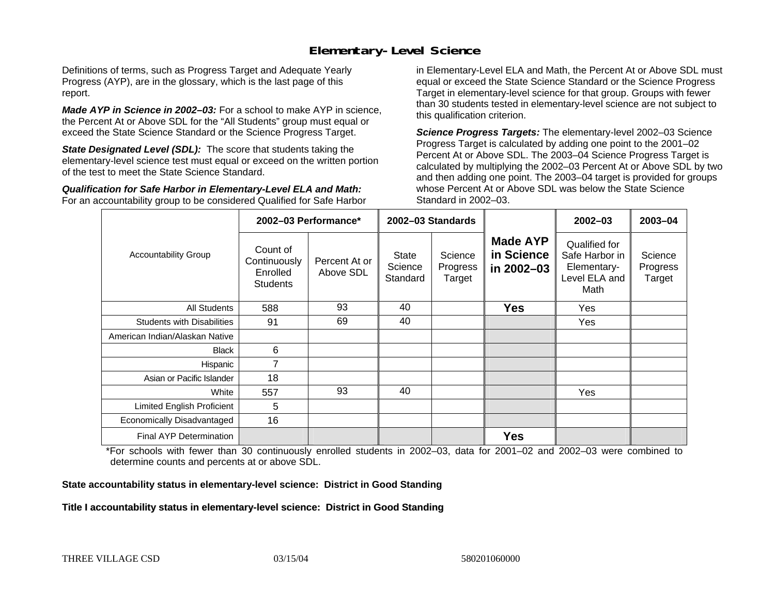#### **Elementary-Level Science**

Definitions of terms, such as Progress Target and Adequate Yearly Progress (AYP), are in the glossary, which is the last page of this report.

*Made AYP in Science in 2002–03:* For a school to make AYP in science, the Percent At or Above SDL for the "All Students" group must equal or exceed the State Science Standard or the Science Progress Target.

**State Designated Level (SDL):** The score that students taking the elementary-level science test must equal or exceed on the written portion of the test to meet the State Science Standard.

*Qualification for Safe Harbor in Elementary-Level ELA and Math:* For an accountability group to be considered Qualified for Safe Harbor in Elementary-Level ELA and Math, the Percent At or Above SDL must equal or exceed the State Science Standard or the Science Progress Target in elementary-level science for that group. Groups with fewer than 30 students tested in elementary-level science are not subject to this qualification criterion.

*Science Progress Targets:* The elementary-level 2002–03 Science Progress Target is calculated by adding one point to the 2001–02 Percent At or Above SDL. The 2003–04 Science Progress Target is calculated by multiplying the 2002–03 Percent At or Above SDL by two and then adding one point. The 2003–04 target is provided for groups whose Percent At or Above SDL was below the State Science Standard in 2002–03.

|                                   |                                                         | 2002-03 Performance*       | 2002-03 Standards                   |                               |                                             | $2002 - 03$                                                             | 2003-04                       |
|-----------------------------------|---------------------------------------------------------|----------------------------|-------------------------------------|-------------------------------|---------------------------------------------|-------------------------------------------------------------------------|-------------------------------|
| <b>Accountability Group</b>       | Count of<br>Continuously<br>Enrolled<br><b>Students</b> | Percent At or<br>Above SDL | <b>State</b><br>Science<br>Standard | Science<br>Progress<br>Target | <b>Made AYP</b><br>in Science<br>in 2002-03 | Qualified for<br>Safe Harbor in<br>Elementary-<br>Level ELA and<br>Math | Science<br>Progress<br>Target |
| All Students                      | 588                                                     | 93                         | 40                                  |                               | <b>Yes</b>                                  | Yes                                                                     |                               |
| <b>Students with Disabilities</b> | 91                                                      | 69                         | 40                                  |                               |                                             | Yes                                                                     |                               |
| American Indian/Alaskan Native    |                                                         |                            |                                     |                               |                                             |                                                                         |                               |
| <b>Black</b>                      | 6                                                       |                            |                                     |                               |                                             |                                                                         |                               |
| Hispanic                          | 7                                                       |                            |                                     |                               |                                             |                                                                         |                               |
| Asian or Pacific Islander         | 18                                                      |                            |                                     |                               |                                             |                                                                         |                               |
| White                             | 557                                                     | 93                         | 40                                  |                               |                                             | Yes                                                                     |                               |
| Limited English Proficient        | 5                                                       |                            |                                     |                               |                                             |                                                                         |                               |
| Economically Disadvantaged        | 16                                                      |                            |                                     |                               |                                             |                                                                         |                               |
| <b>Final AYP Determination</b>    |                                                         |                            |                                     |                               | <b>Yes</b>                                  |                                                                         |                               |

\*For schools with fewer than 30 continuously enrolled students in 2002–03, data for 2001–02 and 2002–03 were combined to determine counts and percents at or above SDL.

#### **State accountability status in elementary-level science: District in Good Standing**

#### Title I accountability status in elementary-level science: District in Good Standing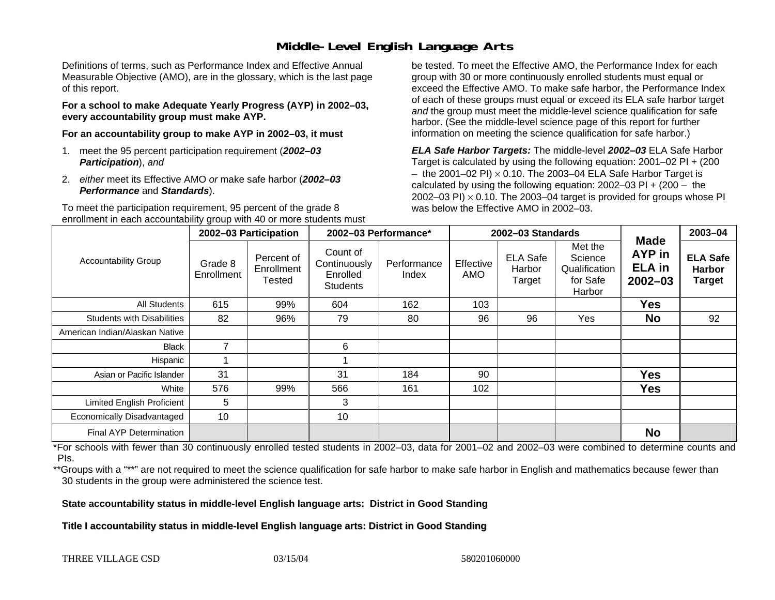### **Middle-Level English Language Arts**

Definitions of terms, such as Performance Index and Effective Annual Measurable Objective (AMO), are in the glossary, which is the last page of this report.

**For a school to make Adequate Yearly Progress (AYP) in 2002–03, every accountability group must make AYP.** 

**For an accountability group to make AYP in 2002–03, it must** 

- 1. meet the 95 percent participation requirement (*2002–03 Participation*), *and*
- 2. *either* meet its Effective AMO *or* make safe harbor (*2002–03 Performance* and *Standards*).

To meet the participation requirement, 95 percent of the grade 8 enrollment in each accountability group with 40 or more students must

be tested. To meet the Effective AMO, the Performance Index for each group with 30 or more continuously enrolled students must equal or exceed the Effective AMO. To make safe harbor, the Performance Index of each of these groups must equal or exceed its ELA safe harbor target *and* the group must meet the middle-level science qualification for safe harbor. (See the middle-level science page of this report for further information on meeting the science qualification for safe harbor.)

*ELA Safe Harbor Targets:* The middle-level *2002–03* ELA Safe Harbor Target is calculated by using the following equation: 2001–02 PI + (200  $-$  the 2001–02 PI)  $\times$  0.10. The 2003–04 ELA Safe Harbor Target is  $\,$ calculated by using the following equation:  $2002-03$  PI +  $(200 -$  the 2002–03 PI)  $\times$  0.10. The 2003–04 target is provided for groups whose PI was below the Effective AMO in 2002–03.

|                                   | 2002-03 Participation |                                    | 2002-03 Performance*                                    |                      |                  | 2002-03 Standards                   |                                                           | 2003-04                                               |                                                   |
|-----------------------------------|-----------------------|------------------------------------|---------------------------------------------------------|----------------------|------------------|-------------------------------------|-----------------------------------------------------------|-------------------------------------------------------|---------------------------------------------------|
| <b>Accountability Group</b>       | Grade 8<br>Enrollment | Percent of<br>Enrollment<br>Tested | Count of<br>Continuously<br>Enrolled<br><b>Students</b> | Performance<br>Index | Effective<br>AMO | <b>ELA Safe</b><br>Harbor<br>Target | Met the<br>Science<br>Qualification<br>for Safe<br>Harbor | <b>Made</b><br>AYP in<br><b>ELA</b> in<br>$2002 - 03$ | <b>ELA Safe</b><br><b>Harbor</b><br><b>Target</b> |
| All Students                      | 615                   | 99%                                | 604                                                     | 162                  | 103              |                                     |                                                           | <b>Yes</b>                                            |                                                   |
| <b>Students with Disabilities</b> | 82                    | 96%                                | 79                                                      | 80                   | 96               | 96                                  | Yes                                                       | <b>No</b>                                             | 92                                                |
| American Indian/Alaskan Native    |                       |                                    |                                                         |                      |                  |                                     |                                                           |                                                       |                                                   |
| <b>Black</b>                      | $\overline{ }$        |                                    | 6                                                       |                      |                  |                                     |                                                           |                                                       |                                                   |
| Hispanic                          |                       |                                    |                                                         |                      |                  |                                     |                                                           |                                                       |                                                   |
| Asian or Pacific Islander         | 31                    |                                    | 31                                                      | 184                  | 90               |                                     |                                                           | <b>Yes</b>                                            |                                                   |
| White                             | 576                   | 99%                                | 566                                                     | 161                  | 102              |                                     |                                                           | <b>Yes</b>                                            |                                                   |
| Limited English Proficient        | 5                     |                                    | 3                                                       |                      |                  |                                     |                                                           |                                                       |                                                   |
| Economically Disadvantaged        | 10                    |                                    | 10                                                      |                      |                  |                                     |                                                           |                                                       |                                                   |
| <b>Final AYP Determination</b>    |                       |                                    |                                                         |                      |                  |                                     |                                                           | <b>No</b>                                             |                                                   |

\*For schools with fewer than 30 continuously enrolled tested students in 2002–03, data for 2001–02 and 2002–03 were combined to determine counts and PIs.

\*\*Groups with a "\*\*" are not required to meet the science qualification for safe harbor to make safe harbor in English and mathematics because fewer than 30 students in the group were administered the science test.

**State accountability status in middle-level English language arts: District in Good Standing** 

Title I accountability status in middle-level English language arts: District in Good Standing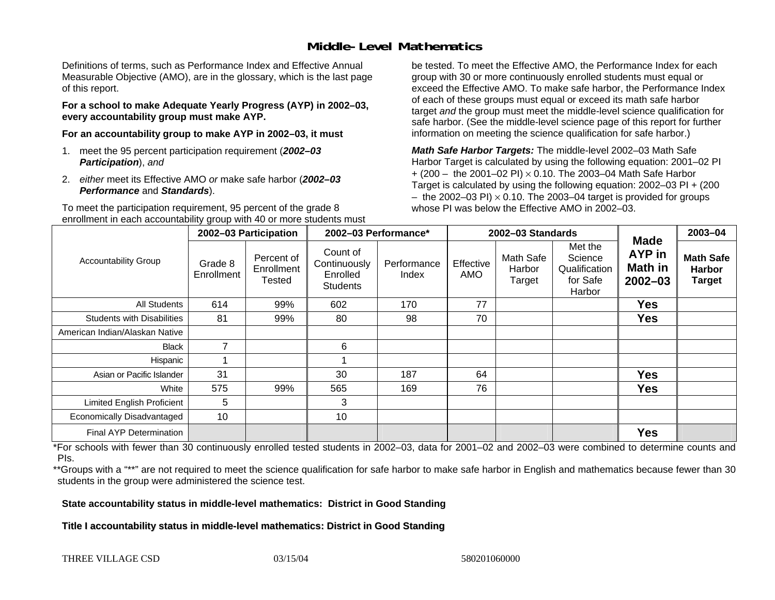### **Middle-Level Mathematics**

Definitions of terms, such as Performance Index and Effective Annual Measurable Objective (AMO), are in the glossary, which is the last page of this report.

**For a school to make Adequate Yearly Progress (AYP) in 2002–03, every accountability group must make AYP.** 

**For an accountability group to make AYP in 2002–03, it must** 

- 1. meet the 95 percent participation requirement (*2002–03 Participation*), *and*
- 2. *either* meet its Effective AMO *or* make safe harbor (*2002–03 Performance* and *Standards*).

To meet the participation requirement, 95 percent of the grade 8 enrollment in each accountability group with 40 or more students must

be tested. To meet the Effective AMO, the Performance Index for each group with 30 or more continuously enrolled students must equal or exceed the Effective AMO. To make safe harbor, the Performance Index of each of these groups must equal or exceed its math safe harbor target *and* the group must meet the middle-level science qualification for safe harbor. (See the middle-level science page of this report for further information on meeting the science qualification for safe harbor.)

*Math Safe Harbor Targets:* The middle-level 2002–03 Math Safe Harbor Target is calculated by using the following equation: 2001–02 PI + (200 – the 2001–02 PI) × 0.10. The 2003–04 Math Safe Harbor Target is calculated by using the following equation: 2002–03 PI + (200  $-$  the 2002–03 PI)  $\times$  0.10. The 2003–04 target is provided for groups whose PI was below the Effective AMO in 2002–03

|                                   | 2002-03 Participation |                                           | 2002-03 Performance*                                    |                      |                  | 2002-03 Standards             |                                                           | 2003-04                                         |                                                    |
|-----------------------------------|-----------------------|-------------------------------------------|---------------------------------------------------------|----------------------|------------------|-------------------------------|-----------------------------------------------------------|-------------------------------------------------|----------------------------------------------------|
| <b>Accountability Group</b>       | Grade 8<br>Enrollment | Percent of<br>Enrollment<br><b>Tested</b> | Count of<br>Continuously<br>Enrolled<br><b>Students</b> | Performance<br>Index | Effective<br>AMO | Math Safe<br>Harbor<br>Target | Met the<br>Science<br>Qualification<br>for Safe<br>Harbor | <b>Made</b><br>AYP in<br>Math in<br>$2002 - 03$ | <b>Math Safe</b><br><b>Harbor</b><br><b>Target</b> |
| All Students                      | 614                   | 99%                                       | 602                                                     | 170                  | 77               |                               |                                                           | <b>Yes</b>                                      |                                                    |
| <b>Students with Disabilities</b> | 81                    | 99%                                       | 80                                                      | 98                   | 70               |                               |                                                           | <b>Yes</b>                                      |                                                    |
| American Indian/Alaskan Native    |                       |                                           |                                                         |                      |                  |                               |                                                           |                                                 |                                                    |
| <b>Black</b>                      | $\overline{7}$        |                                           | 6                                                       |                      |                  |                               |                                                           |                                                 |                                                    |
| Hispanic                          |                       |                                           |                                                         |                      |                  |                               |                                                           |                                                 |                                                    |
| Asian or Pacific Islander         | 31                    |                                           | 30                                                      | 187                  | 64               |                               |                                                           | <b>Yes</b>                                      |                                                    |
| White                             | 575                   | 99%                                       | 565                                                     | 169                  | 76               |                               |                                                           | <b>Yes</b>                                      |                                                    |
| Limited English Proficient        | 5                     |                                           | 3                                                       |                      |                  |                               |                                                           |                                                 |                                                    |
| Economically Disadvantaged        | 10                    |                                           | 10                                                      |                      |                  |                               |                                                           |                                                 |                                                    |
| Final AYP Determination           |                       |                                           |                                                         |                      |                  |                               |                                                           | <b>Yes</b>                                      |                                                    |

\*For schools with fewer than 30 continuously enrolled tested students in 2002–03, data for 2001–02 and 2002–03 were combined to determine counts and PIs.

\*\*Groups with a "\*\*" are not required to meet the science qualification for safe harbor to make safe harbor in English and mathematics because fewer than 30 students in the group were administered the science test.

**State accountability status in middle-level mathematics: District in Good Standing** 

Title I accountability status in middle-level mathematics: District in Good Standing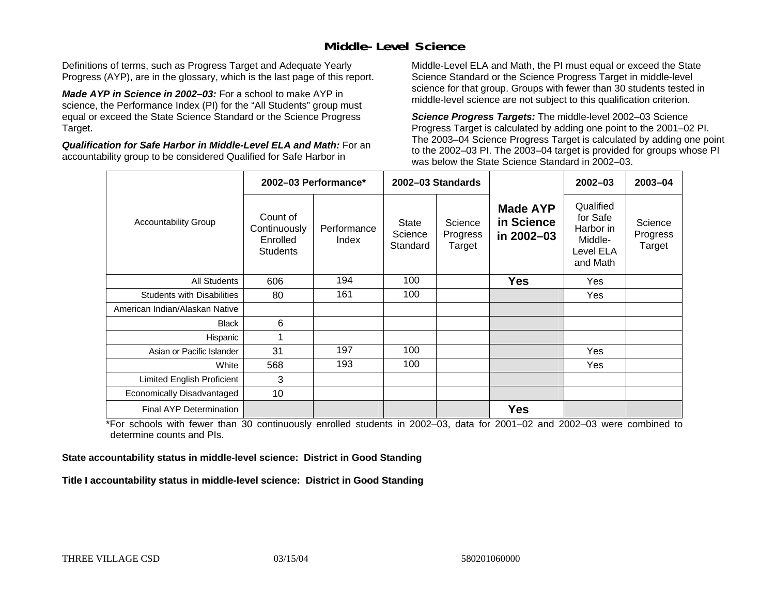### **Middle-Level Science**

Definitions of terms, such as Progress Target and Adequate Yearly Progress (AYP), are in the glossary, which is the last page of this report.

*Made AYP in Science in 2002–03:* For a school to make AYP in science, the Performance Index (PI) for the "All Students" group must equal or exceed the State Science Standard or the Science Progress Target.

*Qualification for Safe Harbor in Middle-Level ELA and Math:* For an accountability group to be considered Qualified for Safe Harbor in

Middle-Level ELA and Math, the PI must equal or exceed the State Science Standard or the Science Progress Target in middle-level science for that group. Groups with fewer than 30 students tested in middle-level science are not subject to this qualification criterion.

*Science Progress Targets:* The middle-level 2002–03 Science Progress Target is calculated by adding one point to the 2001–02 PI. The 2003–04 Science Progress Target is calculated by adding one point to the 2002–03 PI. The 2003–04 target is provided for groups whose PI was below the State Science Standard in 2002–03.

|                                   | 2002-03 Performance*                                    |                      |                              | 2002-03 Standards             |                                             | $2002 - 03$                                                            | $2003 - 04$                   |
|-----------------------------------|---------------------------------------------------------|----------------------|------------------------------|-------------------------------|---------------------------------------------|------------------------------------------------------------------------|-------------------------------|
| <b>Accountability Group</b>       | Count of<br>Continuously<br>Enrolled<br><b>Students</b> | Performance<br>Index | State<br>Science<br>Standard | Science<br>Progress<br>Target | <b>Made AYP</b><br>in Science<br>in 2002-03 | Qualified<br>for Safe<br>Harbor in<br>Middle-<br>Level ELA<br>and Math | Science<br>Progress<br>Target |
| <b>All Students</b>               | 606                                                     | 194                  | 100                          |                               | <b>Yes</b>                                  | Yes                                                                    |                               |
| <b>Students with Disabilities</b> | 80                                                      | 161                  | 100                          |                               |                                             | Yes                                                                    |                               |
| American Indian/Alaskan Native    |                                                         |                      |                              |                               |                                             |                                                                        |                               |
| <b>Black</b>                      | 6                                                       |                      |                              |                               |                                             |                                                                        |                               |
| Hispanic                          | 1                                                       |                      |                              |                               |                                             |                                                                        |                               |
| Asian or Pacific Islander         | 31                                                      | 197                  | 100                          |                               |                                             | Yes                                                                    |                               |
| White                             | 568                                                     | 193                  | 100                          |                               |                                             | Yes                                                                    |                               |
| Limited English Proficient        | 3                                                       |                      |                              |                               |                                             |                                                                        |                               |
| Economically Disadvantaged        | 10                                                      |                      |                              |                               |                                             |                                                                        |                               |
| Final AYP Determination           |                                                         |                      |                              |                               | <b>Yes</b>                                  |                                                                        |                               |

\*For schools with fewer than 30 continuously enrolled students in 2002–03, data for 2001–02 and 2002–03 were combined to determine counts and PIs.

**State accountability status in middle-level science: District in Good Standing** 

Title I accountability status in middle-level science: District in Good Standing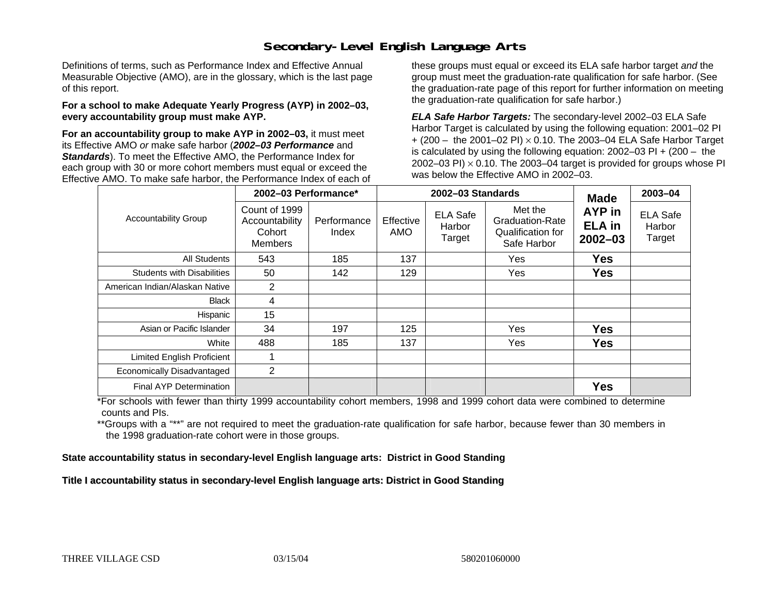### **Secondary-Level English Language Arts**

Definitions of terms, such as Performance Index and Effective Annual Measurable Objective (AMO), are in the glossary, which is the last page of this report.

#### **For a school to make Adequate Yearly Progress (AYP) in 2002–03, every accountability group must make AYP.**

**For an accountability group to make AYP in 2002–03,** it must meet its Effective AMO *or* make safe harbor (*2002–03 Performance* and *Standards*). To meet the Effective AMO, the Performance Index for each group with 30 or more cohort members must equal or exceed the Effective AMO. To make safe harbor, the Performance Index of each of these groups must equal or exceed its ELA safe harbor target *and* the group must meet the graduation-rate qualification for safe harbor. (See the graduation-rate page of this report for further information on meeting the graduation-rate qualification for safe harbor.)

*ELA Safe Harbor Targets:* The secondary-level 2002–03 ELA Safe Harbor Target is calculated by using the following equation: 2001–02 PI + (200 – the 2001–02 PI) <sup>×</sup> 0.10. The 2003–04 ELA Safe Harbor Target is calculated by using the following equation: 2002–03 PI + (200 – the 2002–03 PI)  $\times$  0.10. The 2003–04 target is provided for groups whose PI was below the Effective AMO in 2002–03.

|                                   | 2002-03 Performance*                                        |                      | 2002-03 Standards | <b>Made</b>                         | 2003-04                                                               |                                        |                                     |
|-----------------------------------|-------------------------------------------------------------|----------------------|-------------------|-------------------------------------|-----------------------------------------------------------------------|----------------------------------------|-------------------------------------|
| <b>Accountability Group</b>       | Count of 1999<br>Accountability<br>Cohort<br><b>Members</b> | Performance<br>Index | Effective<br>AMO  | <b>ELA Safe</b><br>Harbor<br>Target | Met the<br><b>Graduation-Rate</b><br>Qualification for<br>Safe Harbor | AYP in<br><b>ELA</b> in<br>$2002 - 03$ | <b>ELA Safe</b><br>Harbor<br>Target |
| All Students                      | 543                                                         | 185                  | 137               |                                     | Yes                                                                   | <b>Yes</b>                             |                                     |
| <b>Students with Disabilities</b> | 50                                                          | 142                  | 129               |                                     | Yes                                                                   | <b>Yes</b>                             |                                     |
| American Indian/Alaskan Native    | 2                                                           |                      |                   |                                     |                                                                       |                                        |                                     |
| <b>Black</b>                      | 4                                                           |                      |                   |                                     |                                                                       |                                        |                                     |
| Hispanic                          | 15                                                          |                      |                   |                                     |                                                                       |                                        |                                     |
| Asian or Pacific Islander         | 34                                                          | 197                  | 125               |                                     | Yes                                                                   | <b>Yes</b>                             |                                     |
| White                             | 488                                                         | 185                  | 137               |                                     | Yes                                                                   | <b>Yes</b>                             |                                     |
| Limited English Proficient        |                                                             |                      |                   |                                     |                                                                       |                                        |                                     |
| Economically Disadvantaged        | $\overline{2}$                                              |                      |                   |                                     |                                                                       |                                        |                                     |
| Final AYP Determination           |                                                             |                      |                   |                                     |                                                                       | <b>Yes</b>                             |                                     |

\*For schools with fewer than thirty 1999 accountability cohort members, 1998 and 1999 cohort data were combined to determine counts and PIs.

\*\*Groups with a "\*\*" are not required to meet the graduation-rate qualification for safe harbor, because fewer than 30 members in the 1998 graduation-rate cohort were in those groups.

**State accountability status in secondary-level English language arts: District in Good Standing** 

Title I accountability status in secondary-level English language arts: District in Good Standing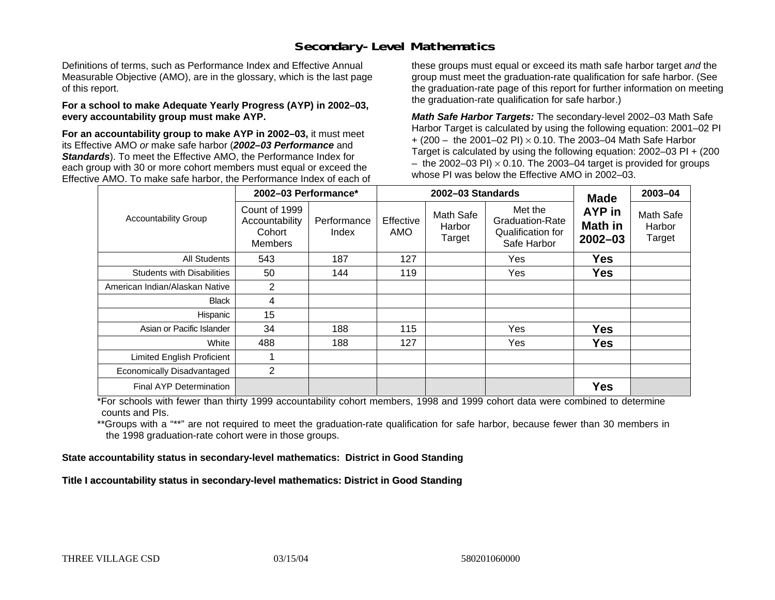### **Secondary-Level Mathematics**

Definitions of terms, such as Performance Index and Effective Annual Measurable Objective (AMO), are in the glossary, which is the last page of this report.

#### **For a school to make Adequate Yearly Progress (AYP) in 2002–03, every accountability group must make AYP.**

**For an accountability group to make AYP in 2002–03,** it must meet its Effective AMO *or* make safe harbor (*2002–03 Performance* and *Standards*). To meet the Effective AMO, the Performance Index for each group with 30 or more cohort members must equal or exceed the Effective AMO. To make safe harbor, the Performance Index of each of these groups must equal or exceed its math safe harbor target *and* the group must meet the graduation-rate qualification for safe harbor. (See the graduation-rate page of this report for further information on meeting the graduation-rate qualification for safe harbor.)

*Math Safe Harbor Targets:* The secondary-level 2002–03 Math Safe Harbor Target is calculated by using the following equation: 2001–02 PI + (200 – the 2001–02 PI) × 0.10. The 2003–04 Math Safe Harbor Target is calculated by using the following equation: 2002–03 PI + (200  $-$  the 2002–03 PI)  $\times$  0.10. The 2003–04 target is provided for groups whose PI was below the Effective AMO in 2002–03.

|                                   | 2002-03 Performance*                                        |                      |                  | 2002-03 Standards             | <b>Made</b>                                                           | 2003-04                          |                               |
|-----------------------------------|-------------------------------------------------------------|----------------------|------------------|-------------------------------|-----------------------------------------------------------------------|----------------------------------|-------------------------------|
| <b>Accountability Group</b>       | Count of 1999<br>Accountability<br>Cohort<br><b>Members</b> | Performance<br>Index | Effective<br>AMO | Math Safe<br>Harbor<br>Target | Met the<br><b>Graduation-Rate</b><br>Qualification for<br>Safe Harbor | AYP in<br>Math in<br>$2002 - 03$ | Math Safe<br>Harbor<br>Target |
| All Students                      | 543                                                         | 187                  | 127              |                               | Yes                                                                   | <b>Yes</b>                       |                               |
| <b>Students with Disabilities</b> | 50                                                          | 144                  | 119              |                               | Yes                                                                   | <b>Yes</b>                       |                               |
| American Indian/Alaskan Native    | $\overline{2}$                                              |                      |                  |                               |                                                                       |                                  |                               |
| <b>Black</b>                      | 4                                                           |                      |                  |                               |                                                                       |                                  |                               |
| Hispanic                          | 15                                                          |                      |                  |                               |                                                                       |                                  |                               |
| Asian or Pacific Islander         | 34                                                          | 188                  | 115              |                               | Yes                                                                   | <b>Yes</b>                       |                               |
| White                             | 488                                                         | 188                  | 127              |                               | Yes                                                                   | <b>Yes</b>                       |                               |
| Limited English Proficient        |                                                             |                      |                  |                               |                                                                       |                                  |                               |
| Economically Disadvantaged        | $\overline{2}$                                              |                      |                  |                               |                                                                       |                                  |                               |
| Final AYP Determination           |                                                             |                      |                  |                               |                                                                       | <b>Yes</b>                       |                               |

\*For schools with fewer than thirty 1999 accountability cohort members, 1998 and 1999 cohort data were combined to determine counts and PIs.

\*\*Groups with a "\*\*" are not required to meet the graduation-rate qualification for safe harbor, because fewer than 30 members in the 1998 graduation-rate cohort were in those groups.

**State accountability status in secondary-level mathematics: District in Good Standing** 

Title I accountability status in secondary-level mathematics: District in Good Standing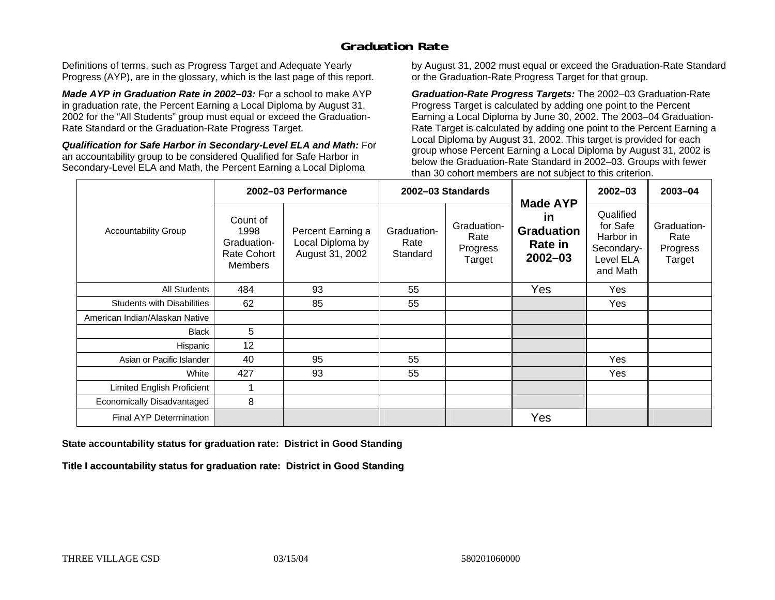## **Graduation Rate**

Definitions of terms, such as Progress Target and Adequate Yearly Progress (AYP), are in the glossary, which is the last page of this report.

*Made AYP in Graduation Rate in 2002–03:* For a school to make AYP in graduation rate, the Percent Earning a Local Diploma by August 31, 2002 for the "All Students" group must equal or exceed the Graduation-Rate Standard or the Graduation-Rate Progress Target.

*Qualification for Safe Harbor in Secondary-Level ELA and Math:* For an accountability group to be considered Qualified for Safe Harbor in Secondary-Level ELA and Math, the Percent Earning a Local Diploma

by August 31, 2002 must equal or exceed the Graduation-Rate Standard or the Graduation-Rate Progress Target for that group.

*Graduation-Rate Progress Targets:* The 2002–03 Graduation-Rate Progress Target is calculated by adding one point to the Percent Earning a Local Diploma by June 30, 2002. The 2003–04 Graduation-Rate Target is calculated by adding one point to the Percent Earning a Local Diploma by August 31, 2002. This target is provided for each group whose Percent Earning a Local Diploma by August 31, 2002 is below the Graduation-Rate Standard in 2002–03. Groups with fewer than 30 cohort members are not subject to this criterion.

|                                   |                                                                  | 2002-03 Performance                                      |                                 | 2002-03 Standards                         |                                                                                    | $2002 - 03$                                                               | 2003-04                                   |
|-----------------------------------|------------------------------------------------------------------|----------------------------------------------------------|---------------------------------|-------------------------------------------|------------------------------------------------------------------------------------|---------------------------------------------------------------------------|-------------------------------------------|
| <b>Accountability Group</b>       | Count of<br>1998<br>Graduation-<br>Rate Cohort<br><b>Members</b> | Percent Earning a<br>Local Diploma by<br>August 31, 2002 | Graduation-<br>Rate<br>Standard | Graduation-<br>Rate<br>Progress<br>Target | <b>Made AYP</b><br><u>in</u><br><b>Graduation</b><br><b>Rate in</b><br>$2002 - 03$ | Qualified<br>for Safe<br>Harbor in<br>Secondary-<br>Level ELA<br>and Math | Graduation-<br>Rate<br>Progress<br>Target |
| <b>All Students</b>               | 484                                                              | 93                                                       | 55                              |                                           | Yes                                                                                | Yes                                                                       |                                           |
| <b>Students with Disabilities</b> | 62                                                               | 85                                                       | 55                              |                                           |                                                                                    | Yes                                                                       |                                           |
| American Indian/Alaskan Native    |                                                                  |                                                          |                                 |                                           |                                                                                    |                                                                           |                                           |
| <b>Black</b>                      | 5                                                                |                                                          |                                 |                                           |                                                                                    |                                                                           |                                           |
| Hispanic                          | 12                                                               |                                                          |                                 |                                           |                                                                                    |                                                                           |                                           |
| Asian or Pacific Islander         | 40                                                               | 95                                                       | 55                              |                                           |                                                                                    | Yes                                                                       |                                           |
| White                             | 427                                                              | 93                                                       | 55                              |                                           |                                                                                    | Yes                                                                       |                                           |
| Limited English Proficient        |                                                                  |                                                          |                                 |                                           |                                                                                    |                                                                           |                                           |
| Economically Disadvantaged        | 8                                                                |                                                          |                                 |                                           |                                                                                    |                                                                           |                                           |
| <b>Final AYP Determination</b>    |                                                                  |                                                          |                                 |                                           | Yes                                                                                |                                                                           |                                           |

#### **State accountability status for graduation rate: District in Good Standing**

Title I accountability status for graduation rate: District in Good Standing